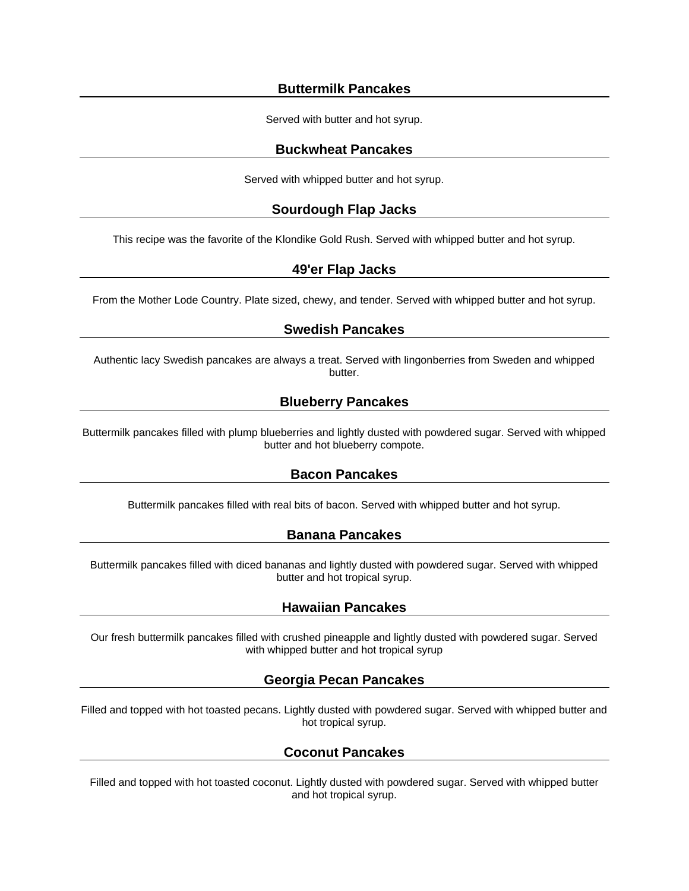#### **Buttermilk Pancakes**

Served with butter and hot syrup.

#### **Buckwheat Pancakes**

Served with whipped butter and hot syrup.

# **Sourdough Flap Jacks**

This recipe was the favorite of the Klondike Gold Rush. Served with whipped butter and hot syrup.

# **49'er Flap Jacks**

From the Mother Lode Country. Plate sized, chewy, and tender. Served with whipped butter and hot syrup.

# **Swedish Pancakes**

Authentic lacy Swedish pancakes are always a treat. Served with lingonberries from Sweden and whipped butter.

# **Blueberry Pancakes**

Buttermilk pancakes filled with plump blueberries and lightly dusted with powdered sugar. Served with whipped butter and hot blueberry compote.

# **Bacon Pancakes**

Buttermilk pancakes filled with real bits of bacon. Served with whipped butter and hot syrup.

#### **Banana Pancakes**

Buttermilk pancakes filled with diced bananas and lightly dusted with powdered sugar. Served with whipped butter and hot tropical syrup.

# **Hawaiian Pancakes**

Our fresh buttermilk pancakes filled with crushed pineapple and lightly dusted with powdered sugar. Served with whipped butter and hot tropical syrup

# **Georgia Pecan Pancakes**

Filled and topped with hot toasted pecans. Lightly dusted with powdered sugar. Served with whipped butter and hot tropical syrup.

# **Coconut Pancakes**

Filled and topped with hot toasted coconut. Lightly dusted with powdered sugar. Served with whipped butter and hot tropical syrup.